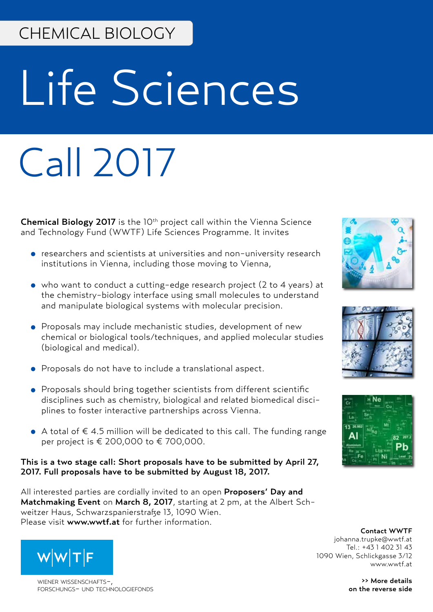### CHEMICAL BIOLOGY

# Life Sciences

## Call 2017

Chemical Biology 2017 is the 10<sup>th</sup> project call within the Vienna Science and Technology Fund (WWTF) Life Sciences Programme. It invites

- researchers and scientists at universities and non-university research institutions in Vienna, including those moving to Vienna,
- who want to conduct a cutting-edge research project (2 to 4 years) at the chemistry-biology interface using small molecules to understand and manipulate biological systems with molecular precision.
- Proposals may include mechanistic studies, development of new chemical or biological tools/techniques, and applied molecular studies (biological and medical).
- Proposals do not have to include a translational aspect.
- Proposals should bring together scientists from different scientific disciplines such as chemistry, biological and related biomedical disciplines to foster interactive partnerships across Vienna.
- A total of  $\epsilon$  4.5 million will be dedicated to this call. The funding range per project is € 200,000 to € 700,000.

#### This is a two stage call: Short proposals have to be submitted by April 27, 2017. Full proposals have to be submitted by August 18, 2017.

All interested parties are cordially invited to an open Proposers' Day and Matchmaking Event on March 8, 2017, starting at 2 pm, at the Albert Schweitzer Haus, Schwarzspanierstraße 13, 1090 Wien. Please visit www.wwtf.at for further information.







Contact WWTF johanna.trupke@wwtf.at Tel.: +43 1 402 31 43 1090 Wien, Schlickgasse 3/12 www.wwtf.at

> >> More details on the reverse side



WIFNER WISSENSCHAFTSforschungs- und technologiefonds